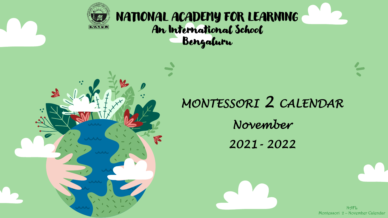

### NATIONAL ACADEMY FOR LEARNING An International School Bengaluru

# *MONTESSORI 2 CALENDAR November 2021- 2022*

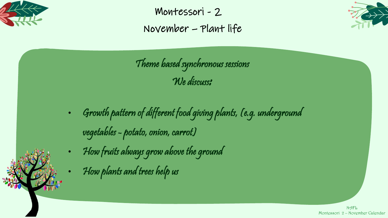

Montessori - 2 November – Plant life



Theme based synchronous sessions We discuss:

- Growth pattern of different food giving plants, (e.g. underground vegetables - potato, onion, carrot)
- How fruits always grow above the ground
- How plants and trees help us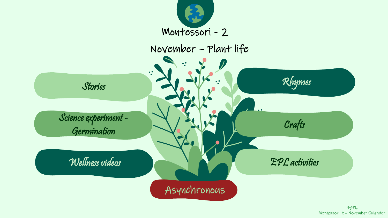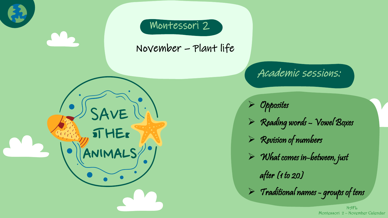

### Montessori 2

SAVE

**STHER** 

November – Plant life

Academic sessions:

➢ Opposites

- ➢ Reading words Vowel Boxes
- $\triangleright$  Revision of numbers
- $\triangleright$  What comes in-between, just

after (1 to 20)

 $>$  Traditional names - groups of tens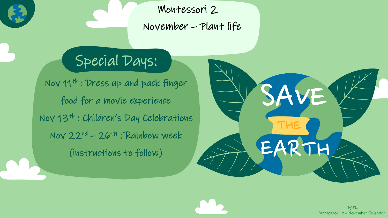Montessori 2 November – Plant life

## Special Days:

Nov 11th : Dress up and pack finger food for a movie experience Nov 13th : Children's Day Celebrations Nov  $22^{nd}$  –  $26^{th}$ : Rainbow week (instructions to follow)

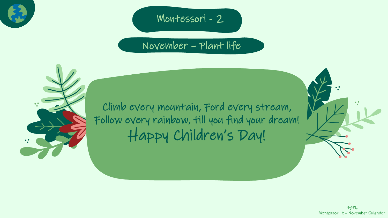

### Montessori - 2

### November – Plant life



Climb every mountain, Ford every stream, Follow every rainbow, till you find your dream! Happy Children's Day!